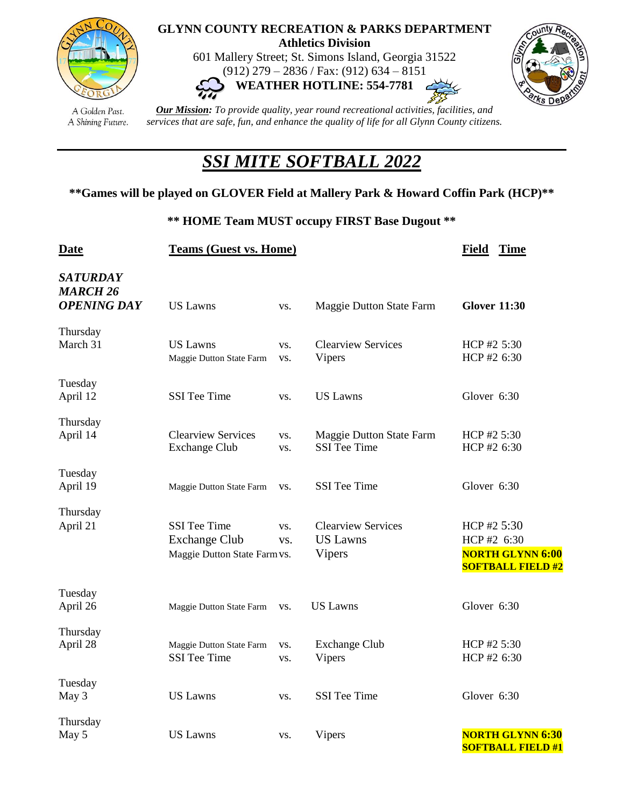

## **GLYNN COUNTY RECREATION & PARKS DEPARTMENT Athletics Division**

601 Mallery Street; St. Simons Island, Georgia 31522 (912) 279 – 2836 / Fax: (912) 634 – 8151 **WEATHER HOTLINE: 554-7781**



A Golden Past. A Shining Future.

*Our Mission: To provide quality, year round recreational activities, facilities, and services that are safe, fun, and enhance the quality of life for all Glynn County citizens.*

## *SSI MITE SOFTBALL 2022*

## **\*\*Games will be played on GLOVER Field at Mallery Park & Howard Coffin Park (HCP)\*\***

## **\*\* HOME Team MUST occupy FIRST Base Dugout \*\***

| <b>Date</b>                                              | <b>Teams (Guest vs. Home)</b>                                        |            |                                                        | <b>Time</b><br>Field                                                              |
|----------------------------------------------------------|----------------------------------------------------------------------|------------|--------------------------------------------------------|-----------------------------------------------------------------------------------|
| <b>SATURDAY</b><br><b>MARCH 26</b><br><b>OPENING DAY</b> | <b>US Lawns</b>                                                      | VS.        | Maggie Dutton State Farm                               | <b>Glover 11:30</b>                                                               |
| Thursday<br>March 31                                     | <b>US Lawns</b><br>Maggie Dutton State Farm                          | VS.<br>VS. | <b>Clearview Services</b><br><b>Vipers</b>             | HCP #2 5:30<br>HCP #2 6:30                                                        |
| Tuesday<br>April 12                                      | SSI Tee Time                                                         | VS.        | <b>US Lawns</b>                                        | Glover 6:30                                                                       |
| Thursday<br>April 14                                     | <b>Clearview Services</b><br><b>Exchange Club</b>                    | VS.<br>VS. | <b>Maggie Dutton State Farm</b><br><b>SSI</b> Tee Time | HCP #2 5:30<br>HCP #2 6:30                                                        |
| Tuesday<br>April 19                                      | Maggie Dutton State Farm                                             | VS.        | SSI Tee Time                                           | Glover 6:30                                                                       |
| Thursday<br>April 21                                     | SSI Tee Time<br><b>Exchange Club</b><br>Maggie Dutton State Farm vs. | VS.<br>VS. | <b>Clearview Services</b><br><b>US Lawns</b><br>Vipers | HCP #2 5:30<br>HCP #2 6:30<br><b>NORTH GLYNN 6:00</b><br><b>SOFTBALL FIELD #2</b> |
| Tuesday<br>April 26                                      | Maggie Dutton State Farm                                             | VS.        | <b>US</b> Lawns                                        | Glover 6:30                                                                       |
| Thursday<br>April 28                                     | Maggie Dutton State Farm<br>SSI Tee Time                             | VS.<br>VS. | <b>Exchange Club</b><br>Vipers                         | HCP #2 5:30<br>HCP #2 6:30                                                        |
| Tuesday<br>May 3                                         | <b>US</b> Lawns                                                      | VS.        | SSI Tee Time                                           | Glover 6:30                                                                       |
| Thursday<br>May 5                                        | <b>US Lawns</b>                                                      | VS.        | Vipers                                                 | <b>NORTH GLYNN 6:30</b><br><b>SOFTBALL FIELD #1</b>                               |